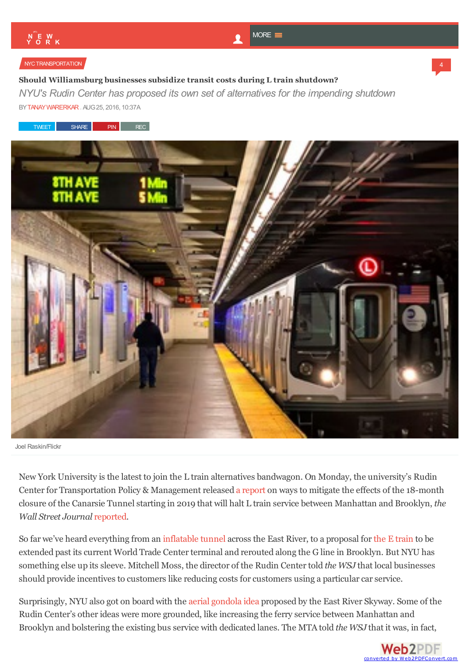4

#### [NYCTRANSPORTATION](http://ny.curbed.com/nyc-transportation)

## **Should Williamsburg businesses subsidize transit costs during L train shutdown?**

*NYU's Rudin Center has proposed its own set of alternatives for the impending shutdown* B[YTANAYWARERKAR](http://ny.curbed.com/authors/tanay-warerkar), AUG 25, 2016, 10:37A





Joel Raskin/Flickr

New York University is the latest to join the L train alternatives bandwagon. On Monday, the university's Rudin Center for Transportation Policy & Management released a [report](http://wagner.nyu.edu/rudincenter/2016/08/l-train-closure-and-mitigation/) on ways to mitigate the effects of the 18-month closure of the Canarsie Tunnel starting in 2019 that will halt L train service between Manhattan and Brooklyn, *the Wall Street Journal* [reported](http://www.wsj.com/articles/nyu-proposes-workarounds-for-l-train-closure-1472084114).

So far we've heard everything from an [inflatable](https://www.dnainfo.com/new-york/20160616/williamsburg/giant-inflatable-condom-across-east-river-among-l-train-replacement-ideas) tunnel across the East River, to a proposal for the E [train](http://ny.curbed.com/2016/7/27/12295718/l-train-alternative-e-train-reroute) to be extended past its current World Trade Center terminal and rerouted along the G line in Brooklyn. But NYU has something else up its sleeve. Mitchell Moss, the director of the Rudin Centertold *the WSJ* that local businesses should provide incentives to customers like reducing costs for customers using a particular car service.

Surprisingly, NYU also got on board with the aerial [gondola](http://ny.curbed.com/2014/9/16/10046780/this-fanciful-tram-would-ease-brooklyn-manhattan-commutes) idea proposed by the East River Skyway. Some of the Rudin Center's other ideas were more grounded, like increasing the ferry service between Manhattan and Brooklyn and bolstering the existing bus service with dedicated lanes. The MTA told *the WSJ* that it [was,](http://www.web2pdfconvert.com?ref=PDF) in fact,